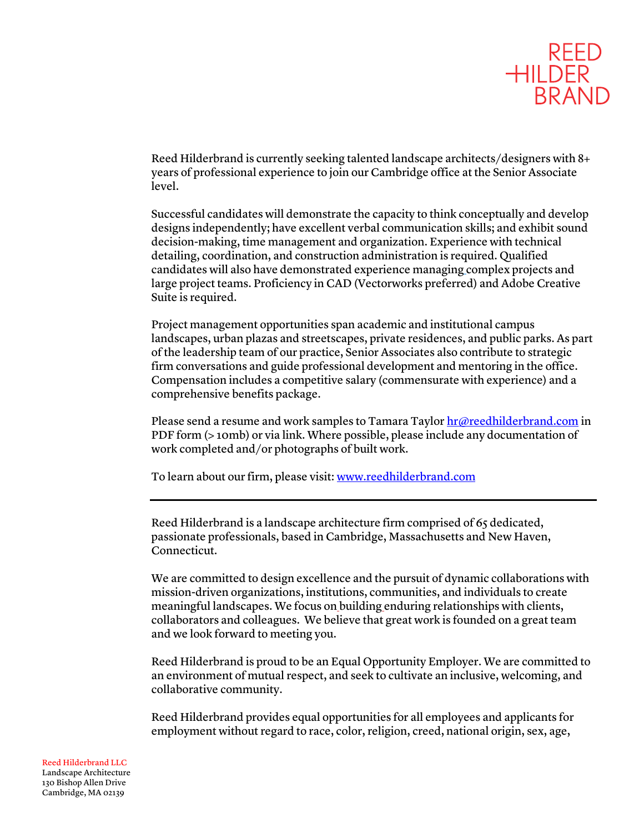

Reed Hilderbrand is currently seeking talented landscape architects/designers with 8+ years of professional experience to join our Cambridge office at the Senior Associate level.

Successful candidates will demonstrate the capacity to think conceptually and develop designs independently; have excellent verbal communication skills; and exhibit sound decision-making, time management and organization. Experience with technical detailing, coordination, and construction administration is required. Qualified candidates will also have demonstrated experience managing complex projects and large project teams. Proficiency in CAD (Vectorworks preferred) and Adobe Creative Suite is required.

Project management opportunities span academic and institutional campus landscapes, urban plazas and streetscapes, private residences, and public parks. As part of the leadership team of our practice, Senior Associates also contribute to strategic firm conversations and guide professional development and mentoring in the office. Compensation includes a competitive salary (commensurate with experience) and a comprehensive benefits package.

Please send a resume and work samples to Tamara Taylor hr@reedhilderbrand.com in PDF form (> 10mb) or via link. Where possible, please include any documentation of work completed and/or photographs of built work.

To learn about our firm, please visit: www.reedhilderbrand.com

Reed Hilderbrand is a landscape architecture firm comprised of 65 dedicated, passionate professionals, based in Cambridge, Massachusetts and New Haven, Connecticut.

We are committed to design excellence and the pursuit of dynamic collaborations with mission-driven organizations, institutions, communities, and individuals to create meaningful landscapes. We focus on building enduring relationships with clients, collaborators and colleagues. We believe that great work is founded on a great team and we look forward to meeting you.

Reed Hilderbrand is proud to be an Equal Opportunity Employer. We are committed to an environment of mutual respect, and seek to cultivate an inclusive, welcoming, and collaborative community.

Reed Hilderbrand provides equal opportunities for all employees and applicants for employment without regard to race, color, religion, creed, national origin, sex, age,

Reed Hilderbrand LLC Landscape Architecture 130 Bishop Allen Drive Cambridge, MA 02139